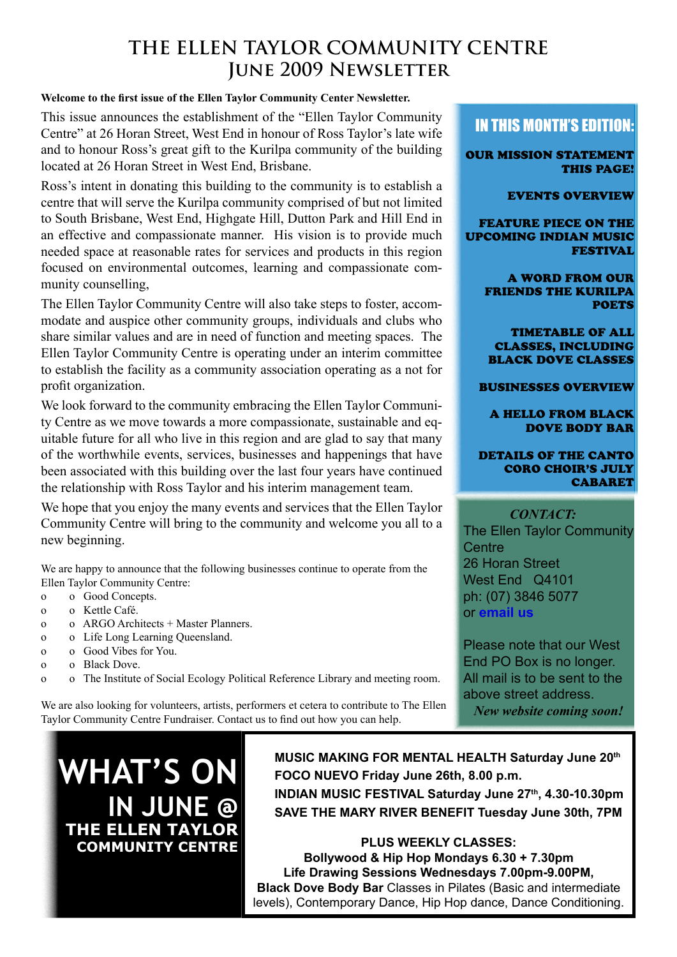#### **The Ellen Taylor Community Centre JUNE 2009 NEWSLETTER**

#### <span id="page-0-0"></span>**Welcome to the first issue of the Ellen Taylor Community Center Newsletter.**

This issue announces the establishment of the "Ellen Taylor Community Centre" at 26 Horan Street, West End in honour of Ross Taylor's late wife and to honour Ross's great gift to the Kurilpa community of the building located at 26 Horan Street in West End, Brisbane.

Ross's intent in donating this building to the community is to establish a centre that will serve the Kurilpa community comprised of but not limited to South Brisbane, West End, Highgate Hill, Dutton Park and Hill End in an effective and compassionate manner. His vision is to provide much needed space at reasonable rates for services and products in this region focused on environmental outcomes, learning and compassionate community counselling,

The Ellen Taylor Community Centre will also take steps to foster, accommodate and auspice other community groups, individuals and clubs who share similar values and are in need of function and meeting spaces. The Ellen Taylor Community Centre is operating under an interim committee to establish the facility as a community association operating as a not for profit organization.

We look forward to the community embracing the Ellen Taylor Community Centre as we move towards a more compassionate, sustainable and equitable future for all who live in this region and are glad to say that many of the worthwhile events, services, businesses and happenings that have been associated with this building over the last four years have continued the relationship with Ross Taylor and his interim management team.

We hope that you enjoy the many events and services that the Ellen Taylor Community Centre will bring to the community and welcome you all to a new beginning.

We are happy to announce that the following businesses continue to operate from the Ellen Taylor Community Centre:

- o o Good Concepts.
- o o Kettle Café.
- o o ARGO Architects + Master Planners.
- o o Life Long Learning Queensland.
- o o Good Vibes for You.
- o o Black Dove.
- o o The Institute of Social Ecology Political Reference Library and meeting room.

We are also looking for volunteers, artists, performers et cetera to contribute to The Ellen Taylor Community Centre Fundraiser. Contact us to find out how you can help.

#### In this month's edition:

Our mission statement This page!

[events overview](#page-1-0)

[feature piece on the](#page-2-0)  [upcoming Indian Music](#page-2-0)  [Festival](#page-2-0)

> [a word from our](#page-3-0)  [friends the Kurilpa](#page-3-0)  **POETS**

[timetable of all](#page-4-0)  [classes, including](#page-4-0)  Black [Dove classes](#page-4-0)

[businesses overview](#page-5-0)

[A hello from Black](#page-6-0) [Dove Body Bar](#page-6-0)

[details of the Canto](#page-6-0) Coro [Choir's July](#page-6-0)  **CABARET** 

#### *Contact:*

The Ellen Taylor Community **Centre** 26 Horan Street West End Q4101 ph: (07) 3846 5077 or **[email us](mailto:admin%40ahimsahouse.com.au?subject=)**

Please note that our West End PO Box is no longer. All mail is to be sent to the above street address. *New website coming soon!*

**WHAT'S ON IN JUNE @ THE ELLEN TAYLOR COMMUNITY CENTRE**

**MUSIC MAKING FOR MENTAL HEALTH Saturday June 20th FOCO NUEVO Friday June 26th, 8.00 p.m. INDIAN MUSIC FESTIVAL Saturday June 27th, 4.30-10.30pm SAVE THE MARY RIVER BENEFIT Tuesday June 30th, 7PM**

**PLUS WEEKLY CLASSES: Bollywood & Hip Hop Mondays 6.30 + 7.30pm Life Drawing Sessions Wednesdays 7.00pm-9.00PM, Black Dove Body Bar** Classes in Pilates (Basic and intermediate levels), Contemporary Dance, Hip Hop dance, Dance Conditioning.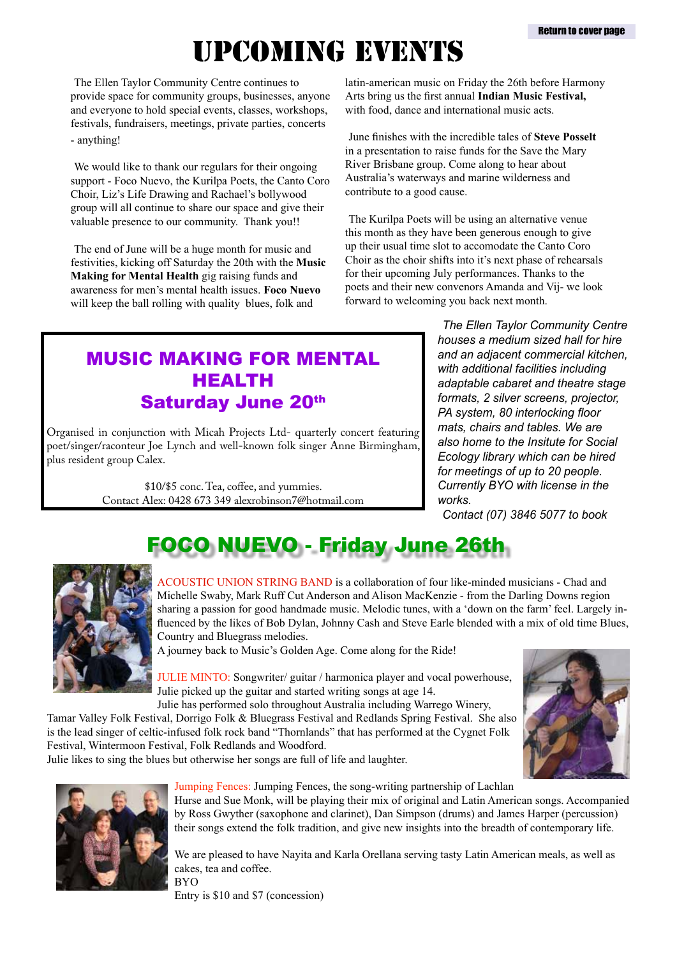# upcoming EVENTS

<span id="page-1-0"></span>The Ellen Taylor Community Centre continues to provide space for community groups, businesses, anyone and everyone to hold special events, classes, workshops, festivals, fundraisers, meetings, private parties, concerts - anything!

We would like to thank our regulars for their ongoing support - Foco Nuevo, the Kurilpa Poets, the Canto Coro Choir, Liz's Life Drawing and Rachael's bollywood group will all continue to share our space and give their valuable presence to our community. Thank you!!

The end of June will be a huge month for music and festivities, kicking off Saturday the 20th with the **Music Making for Mental Health** gig raising funds and awareness for men's mental health issues. **Foco Nuevo** will keep the ball rolling with quality blues, folk and

latin-american music on Friday the 26th before Harmony Arts bring us the first annual **Indian Music Festival,** with food, dance and international music acts.

June finishes with the incredible tales of **Steve Posselt** in a presentation to raise funds for the Save the Mary River Brisbane group. Come along to hear about Australia's waterways and marine wilderness and contribute to a good cause.

The Kurilpa Poets will be using an alternative venue this month as they have been generous enough to give up their usual time slot to accomodate the Canto Coro Choir as the choir shifts into it's next phase of rehearsals for their upcoming July performances. Thanks to the poets and their new convenors Amanda and Vij- we look forward to welcoming you back next month.

#### MUSIC MAKING FOR MENTAL HEALTH Saturday June 20th

Organised in conjunction with Micah Projects Ltd- quarterly concert featuring poet/singer/raconteur Joe Lynch and well-known folk singer Anne Birmingham, plus resident group Calex.

> \$10/\$5 conc. Tea, coffee, and yummies. Contact Alex: 0428 673 349 alexrobinson7@hotmail.com

*The Ellen Taylor Community Centre houses a medium sized hall for hire and an adjacent commercial kitchen, with additional facilities including adaptable cabaret and theatre stage formats, 2 silver screens, projector, PA system, 80 interlocking floor mats, chairs and tables. We are also home to the Insitute for Social Ecology library which can be hired for meetings of up to 20 people. Currently BYO with license in the works.* 

*Contact (07) 3846 5077 to book*

## FOCO NUEVO - Friday June 26th



ACOUSTIC UNION STRING BAND is a collaboration of four like-minded musicians - Chad and Michelle Swaby, Mark Ruff Cut Anderson and Alison MacKenzie - from the Darling Downs region sharing a passion for good handmade music. Melodic tunes, with a 'down on the farm' feel. Largely influenced by the likes of Bob Dylan, Johnny Cash and Steve Earle blended with a mix of old time Blues, Country and Bluegrass melodies.

A journey back to Music's Golden Age. Come along for the Ride!

JULIE MINTO: Songwriter/ guitar / harmonica player and vocal powerhouse, Julie picked up the guitar and started writing songs at age 14.

Julie has performed solo throughout Australia including Warrego Winery, Tamar Valley Folk Festival, Dorrigo Folk & Bluegrass Festival and Redlands Spring Festival. She also is the lead singer of celtic-infused folk rock band "Thornlands" that has performed at the Cygnet Folk Festival, Wintermoon Festival, Folk Redlands and Woodford.

Julie likes to sing the blues but otherwise her songs are full of life and laughter.



Jumping Fences: Jumping Fences, the song-writing partnership of Lachlan Hurse and Sue Monk, will be playing their mix of original and Latin American songs. Accompanied by Ross Gwyther (saxophone and clarinet), Dan Simpson (drums) and James Harper (percussion) their songs extend the folk tradition, and give new insights into the breadth of contemporary life.

We are pleased to have Nayita and Karla Orellana serving tasty Latin American meals, as well as cakes, tea and coffee. BYO

Entry is \$10 and \$7 (concession)

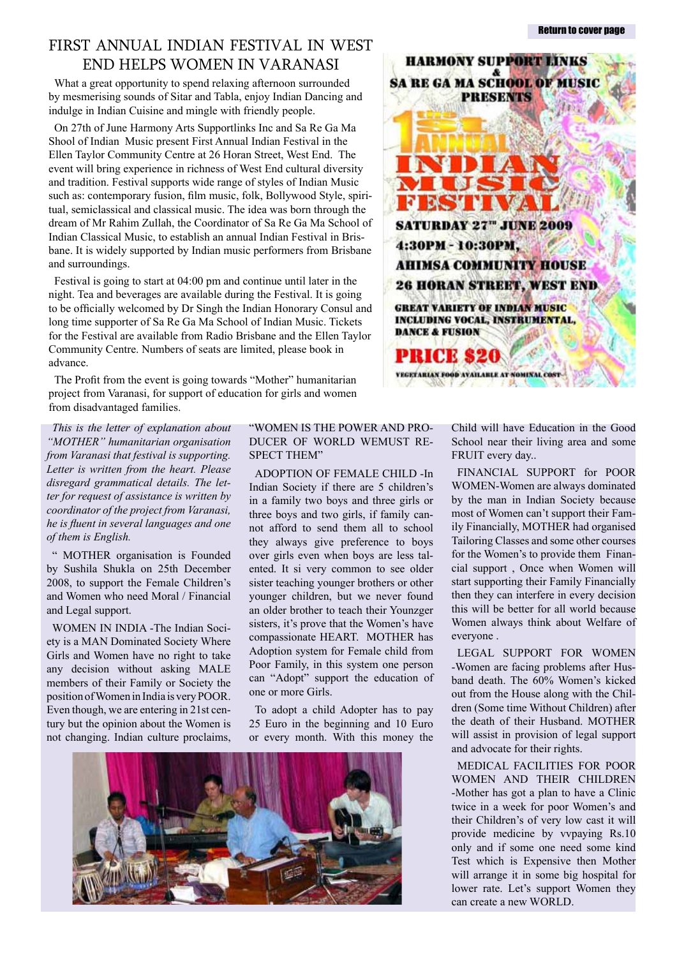#### <span id="page-2-0"></span>First Annual Indian Festival in west End helps Women in Varanasi

What a great opportunity to spend relaxing afternoon surrounded by mesmerising sounds of Sitar and Tabla, enjoy Indian Dancing and indulge in Indian Cuisine and mingle with friendly people.

On 27th of June Harmony Arts Supportlinks Inc and Sa Re Ga Ma Shool of Indian Music present First Annual Indian Festival in the Ellen Taylor Community Centre at 26 Horan Street, West End. The event will bring experience in richness of West End cultural diversity and tradition. Festival supports wide range of styles of Indian Music such as: contemporary fusion, film music, folk, Bollywood Style, spiritual, semiclassical and classical music. The idea was born through the dream of Mr Rahim Zullah, the Coordinator of Sa Re Ga Ma School of Indian Classical Music, to establish an annual Indian Festival in Brisbane. It is widely supported by Indian music performers from Brisbane and surroundings.

Festival is going to start at 04:00 pm and continue until later in the night. Tea and beverages are available during the Festival. It is going to be officially welcomed by Dr Singh the Indian Honorary Consul and long time supporter of Sa Re Ga Ma School of Indian Music. Tickets for the Festival are available from Radio Brisbane and the Ellen Taylor Community Centre. Numbers of seats are limited, please book in advance.

The Profit from the event is going towards "Mother" humanitarian project from Varanasi, for support of education for girls and women from disadvantaged families.

*This is the letter of explanation about "MOTHER" humanitarian organisation from Varanasi that festival is supporting. Letter is written from the heart. Please disregard grammatical details. The letter for request of assistance is written by coordinator of the project from Varanasi, he is fluent in several languages and one of them is English.*

" MOTHER organisation is Founded by Sushila Shukla on 25th December 2008, to support the Female Children's and Women who need Moral / Financial and Legal support.

WOMEN IN INDIA -The Indian Society is a MAN Dominated Society Where Girls and Women have no right to take any decision without asking MALE members of their Family or Society the position of Women in India is very POOR. Even though, we are entering in 21st century but the opinion about the Women is not changing. Indian culture proclaims,

#### "WOMEN IS THE POWER AND PRO-DUCER OF WORLD WEMUST RE-SPECT THEM"

ADOPTION OF FEMALE CHILD -In Indian Society if there are 5 children's in a family two boys and three girls or three boys and two girls, if family cannot afford to send them all to school they always give preference to boys over girls even when boys are less talented. It si very common to see older sister teaching younger brothers or other younger children, but we never found an older brother to teach their Younzger sisters, it's prove that the Women's have compassionate HEART. MOTHER has Adoption system for Female child from Poor Family, in this system one person can "Adopt" support the education of one or more Girls.

To adopt a child Adopter has to pay 25 Euro in the beginning and 10 Euro or every month. With this money the





Child will have Education in the Good School near their living area and some FRUIT every day..

FINANCIAL SUPPORT for POOR WOMEN-Women are always dominated by the man in Indian Society because most of Women can't support their Family Financially, MOTHER had organised Tailoring Classes and some other courses for the Women's to provide them Financial support , Once when Women will start supporting their Family Financially then they can interfere in every decision this will be better for all world because Women always think about Welfare of everyone .

LEGAL SUPPORT FOR WOMEN -Women are facing problems after Husband death. The 60% Women's kicked out from the House along with the Children (Some time Without Children) after the death of their Husband. MOTHER will assist in provision of legal support and advocate for their rights.

MEDICAL FACILITIES FOR POOR WOMEN AND THEIR CHILDREN -Mother has got a plan to have a Clinic twice in a week for poor Women's and their Children's of very low cast it will provide medicine by vvpaying Rs.10 only and if some one need some kind Test which is Expensive then Mother will arrange it in some big hospital for lower rate. Let's support Women they can create a new WORLD.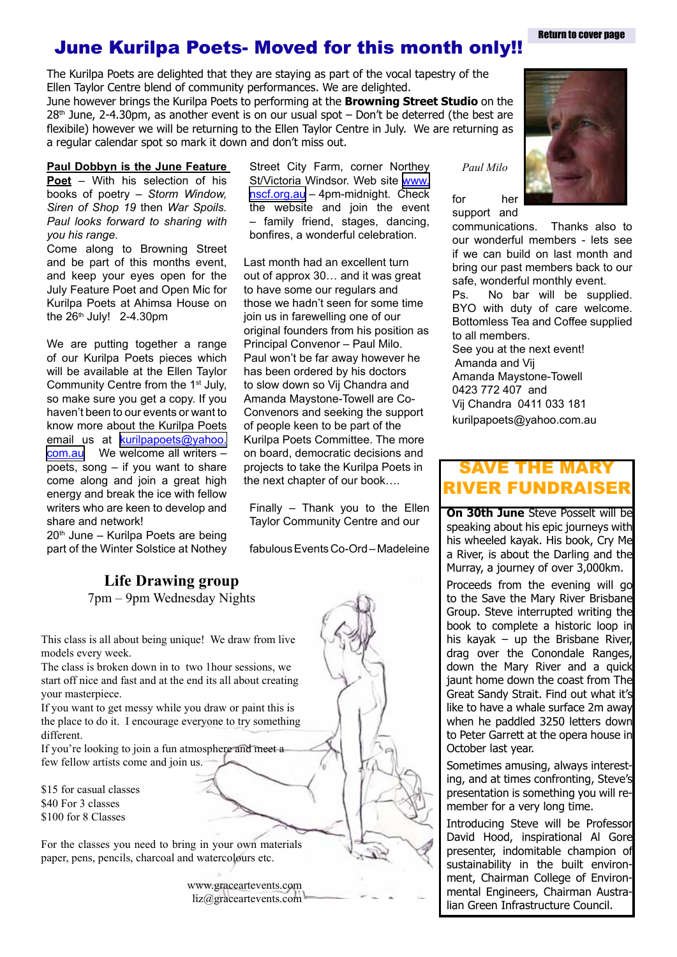**Return to cover nage** 

#### <span id="page-3-0"></span>June Kurilpa Poets- Moved for this month only!!

The Kurilpa Poets are delighted that they are staying as part of the vocal tapestry of the Ellen Taylor Centre blend of community performances. We are delighted.

June however brings the Kurilpa Poets to performing at the **Browning Street Studio** on the  $28<sup>th</sup>$  June, 2-4.30pm, as another event is on our usual spot – Don't be deterred (the best are flexibile) however we will be returning to the Ellen Taylor Centre in July. We are returning as a regular calendar spot so mark it down and don't miss out.

#### **Paul Dobbyn is the June Feature**

**Poet** – With his selection of his books of poetry – *Storm Window, Siren of Shop 19* then *War Spoils. Paul looks forward to sharing with you his range.*

Come along to Browning Street and be part of this months event, and keep your eyes open for the July Feature Poet and Open Mic for Kurilpa Poets at Ahimsa House on the  $26<sup>th</sup>$  July! 2-4.30pm

We are putting together a range of our Kurilpa Poets pieces which will be available at the Ellen Taylor Community Centre from the 1st July, so make sure you get a copy. If you haven't been to our events or want to know more about the Kurilpa Poets email us at **[kurilpapoets@yahoo.](mailto:kurilpapoets@yahoo.com.au)** [com.au](mailto:kurilpapoets@yahoo.com.au) We welcome all writers poets, song – if you want to share come along and join a great high energy and break the ice with fellow writers who are keen to develop and share and network!

 $20<sup>th</sup>$  June – Kurilpa Poets are being part of the Winter Solstice at Nothey

**Life Drawing group**

7pm – 9pm Wednesday Nights

This class is all about being unique! We draw from live models every week.

The class is broken down in to two 1hour sessions, we start off nice and fast and at the end its all about creating your masterpiece.

If you want to get messy while you draw or paint this is the place to do it. I encourage everyone to try something different.

If you're looking to join a fun atmosphere and meet a few fellow artists come and join us.

\$15 for casual classes \$40 For 3 classes \$100 for 8 Classes

For the classes you need to bring in your own materials paper, pens, pencils, charcoal and watercolours etc.

> www.graceartevents.com liz@graceartevents.com

Street City Farm, corner Northey St/Victoria Windsor. Web site [www.](http://www.nscf.org.au/) [nscf.org.au](http://www.nscf.org.au/) – 4pm-midnight. Check the website and join the event – family friend, stages, dancing, bonfires, a wonderful celebration.

Last month had an excellent turn out of approx 30… and it was great to have some our regulars and those we hadn't seen for some time join us in farewelling one of our original founders from his position as Principal Convenor – Paul Milo. Paul won't be far away however he has been ordered by his doctors to slow down so Vij Chandra and Amanda Maystone-Towell are Co-Convenors and seeking the support of people keen to be part of the Kurilpa Poets Committee. The more on board, democratic decisions and projects to take the Kurilpa Poets in the next chapter of our book….

Finally – Thank you to the Ellen Taylor Community Centre and our

fabulous Events Co-Ord – Madeleine



for her support and

communications. Thanks also to our wonderful members - lets see if we can build on last month and bring our past members back to our safe, wonderful monthly event.

Ps. No bar will be supplied. BYO with duty of care welcome. Bottomless Tea and Coffee supplied to all members.

See you at the next event! Amanda and Vij Amanda Maystone-Towell 0423 772 407 and Vij Chandra 0411 033 181 kurilpapoets@yahoo.com.au

#### Save the mary river Fundraiser

**On 30th June** Steve Posselt will be speaking about his epic journeys with his wheeled kayak. His book, Cry Me a River, is about the Darling and the Murray, a journey of over 3,000km.

Proceeds from the evening will go to the Save the Mary River Brisbane Group. Steve interrupted writing the book to complete a historic loop in his kayak – up the Brisbane River, drag over the Conondale Ranges, down the Mary River and a quick jaunt home down the coast from The Great Sandy Strait. Find out what it's like to have a whale surface 2m away when he paddled 3250 letters down to Peter Garrett at the opera house in October last year.

Sometimes amusing, always interesting, and at times confronting, Steve's presentation is something you will remember for a very long time.

Introducing Steve will be Professor David Hood, inspirational Al Gore presenter, indomitable champion of sustainability in the built environment, Chairman College of Environmental Engineers, Chairman Australian Green Infrastructure Council.

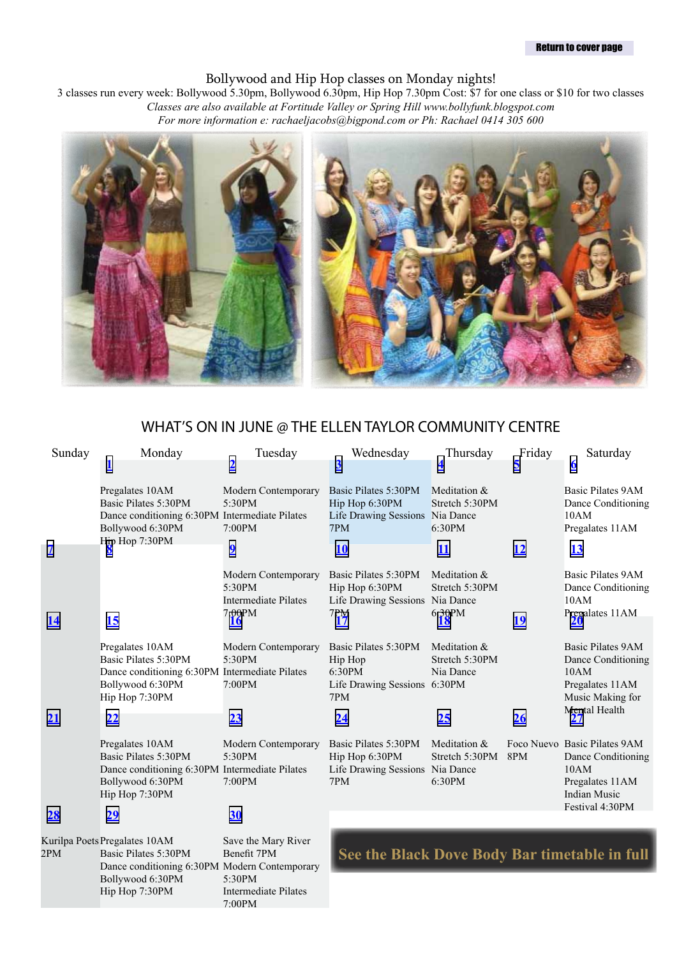#### [Return to cover page](#page-0-0)

#### Bollywood and Hip Hop classes on Monday nights!

3 classes run every week: Bollywood 5.30pm, Bollywood 6.30pm, Hip Hop 7.30pm Cost: \$7 for one class or \$10 for two classes *Classes are also available at Fortitude Valley or Spring Hill www.bollyfunk.blogspot.com For more information e: rachaeljacobs@bigpond.com or Ph: Rachael 0414 305 600*



#### <span id="page-4-0"></span>WHAT'S ON IN JUNE @ THE ELLEN TAYLOR COMMUNITY CENTRE

| Sunday    | Monday                                                                                                                          | Tuesday                                                                      | Wednesday                                                                                     | Thursday                                    | Friday    | Saturday                                                                                             |
|-----------|---------------------------------------------------------------------------------------------------------------------------------|------------------------------------------------------------------------------|-----------------------------------------------------------------------------------------------|---------------------------------------------|-----------|------------------------------------------------------------------------------------------------------|
|           |                                                                                                                                 | <u>2</u>                                                                     | $\overline{3}$                                                                                | 4                                           | 5         | $\underline{6}$                                                                                      |
|           | Pregalates 10AM<br>Basic Pilates 5:30PM<br>Dance conditioning 6:30PM Intermediate Pilates<br>Bollywood 6:30PM<br>Hip Hop 7:30PM | Modern Contemporary<br>5:30PM<br>7:00PM                                      | Basic Pilates 5:30PM<br>Hip Hop 6:30PM<br>Life Drawing Sessions Nia Dance<br>7PM              | Meditation &<br>Stretch 5:30PM<br>6:30PM    |           | <b>Basic Pilates 9AM</b><br>Dance Conditioning<br>10AM<br>Pregalates 11AM                            |
| <u>7</u>  |                                                                                                                                 | $\overline{\mathbf{2}}$                                                      | <b>10</b>                                                                                     | 11                                          | <u>12</u> | <u>13</u>                                                                                            |
| <u>14</u> | 15                                                                                                                              | Modern Contemporary<br>5:30PM<br><b>Intermediate Pilates</b><br>7:00PM<br>16 | Basic Pilates 5:30PM<br>Hip Hop 6:30PM<br>Life Drawing Sessions Nia Dance<br>$\frac{7PM}{17}$ | Meditation &<br>Stretch 5:30PM<br>6:30PM    | <u>19</u> | <b>Basic Pilates 9AM</b><br>Dance Conditioning<br>10AM<br>Pregalates 11AM                            |
|           | Pregalates 10AM<br>Basic Pilates 5:30PM<br>Dance conditioning 6:30PM Intermediate Pilates<br>Bollywood 6:30PM<br>Hip Hop 7:30PM | Modern Contemporary<br>5:30PM<br>7:00PM                                      | Basic Pilates 5:30PM<br>Hip Hop<br>6:30PM<br>Life Drawing Sessions 6:30PM<br>7PM              | Meditation &<br>Stretch 5:30PM<br>Nia Dance |           | <b>Basic Pilates 9AM</b><br>Dance Conditioning<br>10AM<br>Pregalates 11AM<br>Music Making for        |
| 21        | 22                                                                                                                              | 23                                                                           | <u>24</u>                                                                                     | 25                                          | 26        | <b>Mental Health</b>                                                                                 |
|           | Pregalates 10AM<br>Basic Pilates 5:30PM<br>Dance conditioning 6:30PM Intermediate Pilates<br>Bollywood 6:30PM<br>Hip Hop 7:30PM | Modern Contemporary<br>5:30PM<br>7:00PM                                      | Basic Pilates 5:30PM<br>Hip Hop 6:30PM<br>Life Drawing Sessions Nia Dance<br>7PM              | Meditation &<br>Stretch 5:30PM<br>6:30PM    | 8PM       | Foco Nuevo Basic Pilates 9AM<br>Dance Conditioning<br>10AM<br>Pregalates 11AM<br><b>Indian Music</b> |
| 28        | 29                                                                                                                              | 30                                                                           |                                                                                               |                                             |           | Festival 4:30PM                                                                                      |
| 2PM       | Kurilpa Poets Pregalates 10AM<br>Basic Pilates 5:30PM<br>Dance conditioning 6:30PM Modern Contemporary<br>Bollywood 6:30PM      | Save the Mary River<br>Benefit 7PM<br>5:30PM                                 |                                                                                               |                                             |           | See the Black Dove Body Bar timetable in full                                                        |

Intermediate Pilates

7:00PM

Hip Hop 7:30PM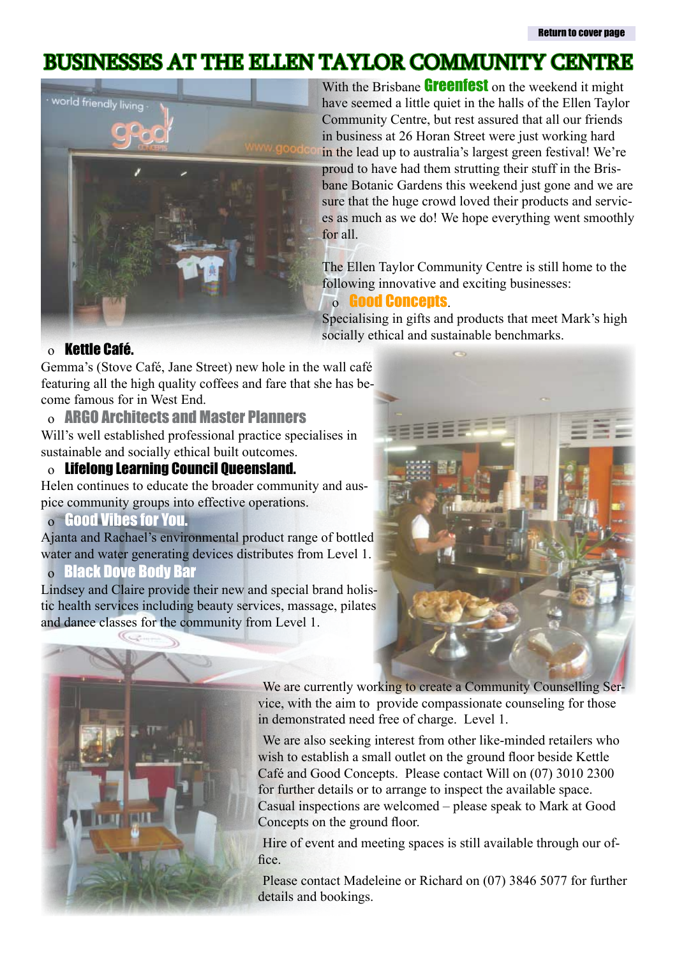### <span id="page-5-0"></span>Businesses at the Ellen Taylor Community Centre



With the Brisbane **[Greenfest](http://www.greenfest.com.au)** on the weekend it might have seemed a little quiet in the halls of the Ellen Taylor Community Centre, but rest assured that all our friends in business at 26 Horan Street were just working hard in the lead up to australia's largest green festival! We're proud to have had them strutting their stuff in the Brisbane Botanic Gardens this weekend just gone and we are sure that the huge crowd loved their products and services as much as we do! We hope everything went smoothly for all.

The Ellen Taylor Community Centre is still home to the following innovative and exciting businesses:

#### o [Good Concepts](http://www.goodconcepts.com.au).

Specialising in gifts and products that meet Mark's high socially ethical and sustainable benchmarks.

#### o Kettle Café.

Gemma's (Stove Café, Jane Street) new hole in the wall café featuring all the high quality coffees and fare that she has become famous for in West End.

#### o [ARGO Architects and Master Planners](http://www.argo.com.au)

Will's well established professional practice specialises in sustainable and socially ethical built outcomes.

#### o Lifelong Learning Council Queensland.

Helen continues to educate the broader community and auspice community groups into effective operations.

#### o [Good Vibes for You.](http://www.goodvibesforyou.com)

Ajanta and Rachael's environmental product range of bottled water and water generating devices distributes from Level 1.

#### o [Black Dove Body Bar](http://www.blackdove.com.au)

Lindsey and Claire provide their new and special brand holistic health services including beauty services, massage, pilates and dance classes for the community from Level 1.





We are currently working to create a Community Counselling Service, with the aim to provide compassionate counseling for those in demonstrated need free of charge. Level 1.

We are also seeking interest from other like-minded retailers who wish to establish a small outlet on the ground floor beside Kettle Café and Good Concepts. Please contact Will on (07) 3010 2300 for further details or to arrange to inspect the available space. Casual inspections are welcomed – please speak to Mark at Good Concepts on the ground floor.

Hire of event and meeting spaces is still available through our office.

Please contact Madeleine or Richard on (07) 3846 5077 for further details and bookings.